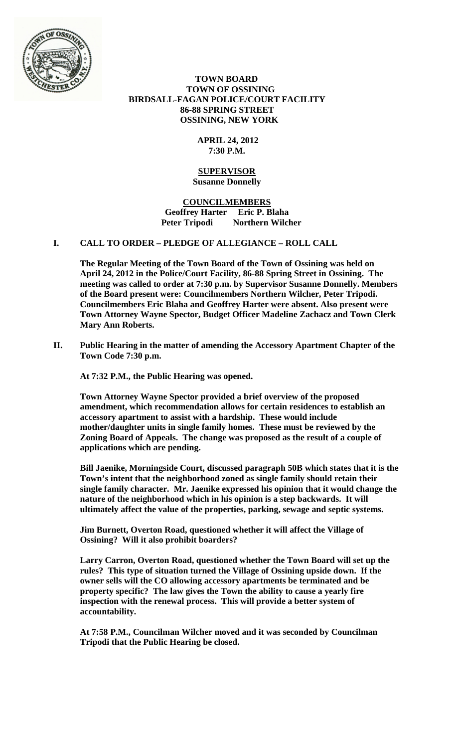

 **TOWN BOARD TOWN OF OSSINING BIRDSALL-FAGAN POLICE/COURT FACILITY 86-88 SPRING STREET OSSINING, NEW YORK**

## **APRIL 24, 2012 7:30 P.M.**

### **SUPERVISOR Susanne Donnelly**

**COUNCILMEMBERS Geoffrey Harter Eric P. Blaha Peter Tripodi Northern Wilcher**

# **I. CALL TO ORDER – PLEDGE OF ALLEGIANCE – ROLL CALL**

**The Regular Meeting of the Town Board of the Town of Ossining was held on April 24, 2012 in the Police/Court Facility, 86-88 Spring Street in Ossining. The meeting was called to order at 7:30 p.m. by Supervisor Susanne Donnelly. Members of the Board present were: Councilmembers Northern Wilcher, Peter Tripodi. Councilmembers Eric Blaha and Geoffrey Harter were absent. Also present were Town Attorney Wayne Spector, Budget Officer Madeline Zachacz and Town Clerk Mary Ann Roberts.**

**II. Public Hearing in the matter of amending the Accessory Apartment Chapter of the Town Code 7:30 p.m.**

**At 7:32 P.M., the Public Hearing was opened.**

**Town Attorney Wayne Spector provided a brief overview of the proposed amendment, which recommendation allows for certain residences to establish an accessory apartment to assist with a hardship. These would include mother/daughter units in single family homes. These must be reviewed by the Zoning Board of Appeals. The change was proposed as the result of a couple of applications which are pending.**

**Bill Jaenike, Morningside Court, discussed paragraph 50B which states that it is the Town's intent that the neighborhood zoned as single family should retain their single family character. Mr. Jaenike expressed his opinion that it would change the nature of the neighborhood which in his opinion is a step backwards. It will ultimately affect the value of the properties, parking, sewage and septic systems.**

**Jim Burnett, Overton Road, questioned whether it will affect the Village of Ossining? Will it also prohibit boarders?** 

**Larry Carron, Overton Road, questioned whether the Town Board will set up the rules? This type of situation turned the Village of Ossining upside down. If the owner sells will the CO allowing accessory apartments be terminated and be property specific? The law gives the Town the ability to cause a yearly fire inspection with the renewal process. This will provide a better system of accountability.**

**At 7:58 P.M., Councilman Wilcher moved and it was seconded by Councilman Tripodi that the Public Hearing be closed.**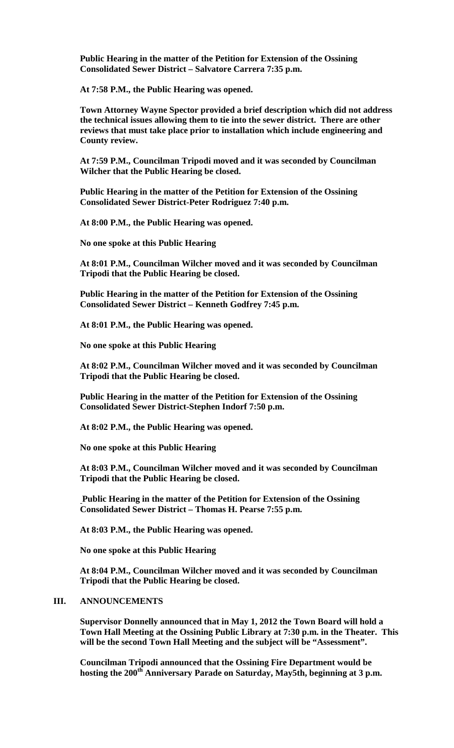**Public Hearing in the matter of the Petition for Extension of the Ossining Consolidated Sewer District – Salvatore Carrera 7:35 p.m.**

**At 7:58 P.M., the Public Hearing was opened.**

**Town Attorney Wayne Spector provided a brief description which did not address the technical issues allowing them to tie into the sewer district. There are other reviews that must take place prior to installation which include engineering and County review.**

**At 7:59 P.M., Councilman Tripodi moved and it was seconded by Councilman Wilcher that the Public Hearing be closed.**

**Public Hearing in the matter of the Petition for Extension of the Ossining Consolidated Sewer District-Peter Rodriguez 7:40 p.m.**

**At 8:00 P.M., the Public Hearing was opened.**

**No one spoke at this Public Hearing**

**At 8:01 P.M., Councilman Wilcher moved and it was seconded by Councilman Tripodi that the Public Hearing be closed.**

**Public Hearing in the matter of the Petition for Extension of the Ossining Consolidated Sewer District – Kenneth Godfrey 7:45 p.m.**

**At 8:01 P.M., the Public Hearing was opened.**

**No one spoke at this Public Hearing**

**At 8:02 P.M., Councilman Wilcher moved and it was seconded by Councilman Tripodi that the Public Hearing be closed.**

**Public Hearing in the matter of the Petition for Extension of the Ossining Consolidated Sewer District-Stephen Indorf 7:50 p.m.**

**At 8:02 P.M., the Public Hearing was opened.**

**No one spoke at this Public Hearing**

**At 8:03 P.M., Councilman Wilcher moved and it was seconded by Councilman Tripodi that the Public Hearing be closed.**

**Public Hearing in the matter of the Petition for Extension of the Ossining Consolidated Sewer District – Thomas H. Pearse 7:55 p.m.**

**At 8:03 P.M., the Public Hearing was opened.**

**No one spoke at this Public Hearing**

**At 8:04 P.M., Councilman Wilcher moved and it was seconded by Councilman Tripodi that the Public Hearing be closed.**

## **III. ANNOUNCEMENTS**

**Supervisor Donnelly announced that in May 1, 2012 the Town Board will hold a Town Hall Meeting at the Ossining Public Library at 7:30 p.m. in the Theater. This will be the second Town Hall Meeting and the subject will be "Assessment".**

**Councilman Tripodi announced that the Ossining Fire Department would be**  hosting the 200<sup>th</sup> Anniversary Parade on Saturday, May5th, beginning at 3 p.m.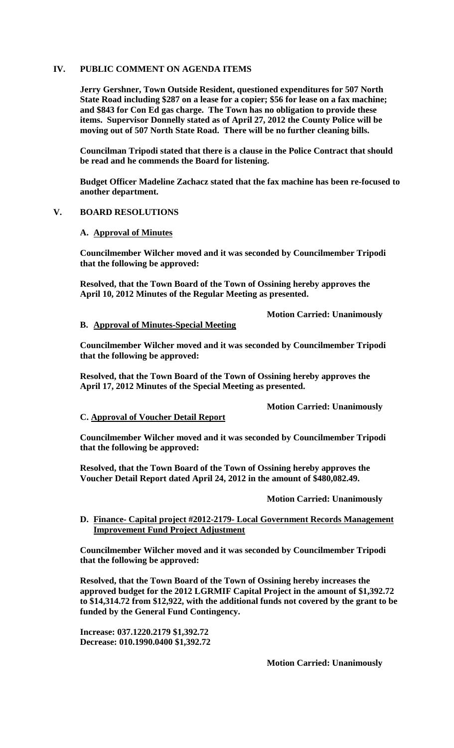## **IV. PUBLIC COMMENT ON AGENDA ITEMS**

**Jerry Gershner, Town Outside Resident, questioned expenditures for 507 North State Road including \$287 on a lease for a copier; \$56 for lease on a fax machine; and \$843 for Con Ed gas charge. The Town has no obligation to provide these items. Supervisor Donnelly stated as of April 27, 2012 the County Police will be moving out of 507 North State Road. There will be no further cleaning bills.**

**Councilman Tripodi stated that there is a clause in the Police Contract that should be read and he commends the Board for listening.**

**Budget Officer Madeline Zachacz stated that the fax machine has been re-focused to another department.**

### **V. BOARD RESOLUTIONS**

#### **A. Approval of Minutes**

**Councilmember Wilcher moved and it was seconded by Councilmember Tripodi that the following be approved:**

**Resolved, that the Town Board of the Town of Ossining hereby approves the April 10, 2012 Minutes of the Regular Meeting as presented.**

**Motion Carried: Unanimously**

### **B. Approval of Minutes-Special Meeting**

**Councilmember Wilcher moved and it was seconded by Councilmember Tripodi that the following be approved:**

**Resolved, that the Town Board of the Town of Ossining hereby approves the April 17, 2012 Minutes of the Special Meeting as presented.**

**Motion Carried: Unanimously**

#### **C. Approval of Voucher Detail Report**

**Councilmember Wilcher moved and it was seconded by Councilmember Tripodi that the following be approved:**

**Resolved, that the Town Board of the Town of Ossining hereby approves the Voucher Detail Report dated April 24, 2012 in the amount of \$480,082.49.**

#### **Motion Carried: Unanimously**

## **D. Finance- Capital project #2012-2179- Local Government Records Management Improvement Fund Project Adjustment**

**Councilmember Wilcher moved and it was seconded by Councilmember Tripodi that the following be approved:**

**Resolved, that the Town Board of the Town of Ossining hereby increases the approved budget for the 2012 LGRMIF Capital Project in the amount of \$1,392.72 to \$14,314.72 from \$12,922, with the additional funds not covered by the grant to be funded by the General Fund Contingency.**

**Increase: 037.1220.2179 \$1,392.72 Decrease: 010.1990.0400 \$1,392.72**

**Motion Carried: Unanimously**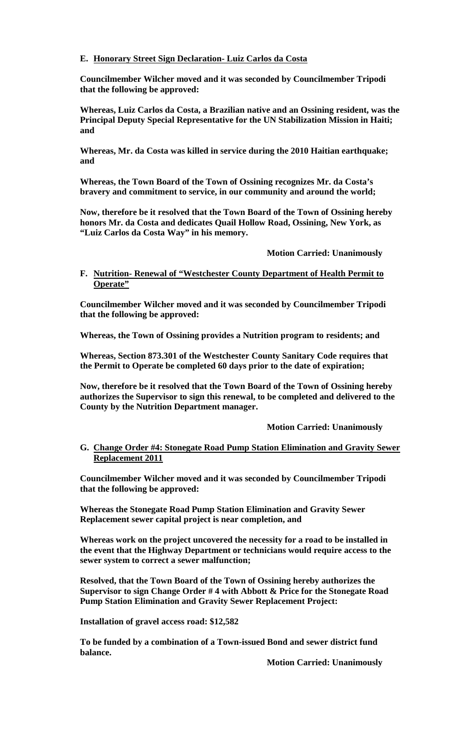# **E. Honorary Street Sign Declaration- Luiz Carlos da Costa**

**Councilmember Wilcher moved and it was seconded by Councilmember Tripodi that the following be approved:**

**Whereas, Luiz Carlos da Costa, a Brazilian native and an Ossining resident, was the Principal Deputy Special Representative for the UN Stabilization Mission in Haiti; and**

**Whereas, Mr. da Costa was killed in service during the 2010 Haitian earthquake; and**

**Whereas, the Town Board of the Town of Ossining recognizes Mr. da Costa's bravery and commitment to service, in our community and around the world;**

**Now, therefore be it resolved that the Town Board of the Town of Ossining hereby honors Mr. da Costa and dedicates Quail Hollow Road, Ossining, New York, as "Luiz Carlos da Costa Way" in his memory.**

**Motion Carried: Unanimously**

# **F. Nutrition- Renewal of "Westchester County Department of Health Permit to Operate"**

**Councilmember Wilcher moved and it was seconded by Councilmember Tripodi that the following be approved:**

**Whereas, the Town of Ossining provides a Nutrition program to residents; and**

**Whereas, Section 873.301 of the Westchester County Sanitary Code requires that the Permit to Operate be completed 60 days prior to the date of expiration;**

**Now, therefore be it resolved that the Town Board of the Town of Ossining hereby authorizes the Supervisor to sign this renewal, to be completed and delivered to the County by the Nutrition Department manager.**

**Motion Carried: Unanimously**

## **G. Change Order #4: Stonegate Road Pump Station Elimination and Gravity Sewer Replacement 2011**

**Councilmember Wilcher moved and it was seconded by Councilmember Tripodi that the following be approved:**

**Whereas the Stonegate Road Pump Station Elimination and Gravity Sewer Replacement sewer capital project is near completion, and**

**Whereas work on the project uncovered the necessity for a road to be installed in the event that the Highway Department or technicians would require access to the sewer system to correct a sewer malfunction;**

**Resolved, that the Town Board of the Town of Ossining hereby authorizes the Supervisor to sign Change Order # 4 with Abbott & Price for the Stonegate Road Pump Station Elimination and Gravity Sewer Replacement Project:** 

**Installation of gravel access road: \$12,582**

**To be funded by a combination of a Town-issued Bond and sewer district fund balance.**

**Motion Carried: Unanimously**